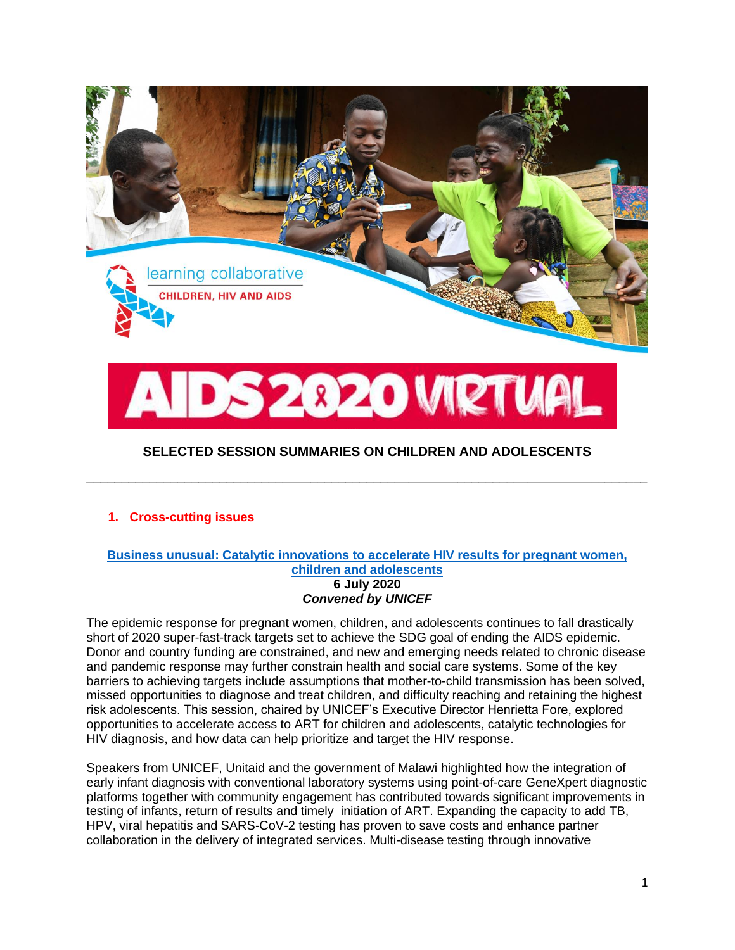

# **1. Cross-cutting issues**

#### **[Business unusual: Catalytic innovations to accelerate HIV results for pregnant women,](https://cattendee.abstractsonline.com/meeting/9289/Session/460)  [children and adolescents](https://cattendee.abstractsonline.com/meeting/9289/Session/460) 6 July 2020** *Convened by UNICEF*

**\_\_\_\_\_\_\_\_\_\_\_\_\_\_\_\_\_\_\_\_\_\_\_\_\_\_\_\_\_\_\_\_\_\_\_\_\_\_\_\_\_\_\_\_\_\_\_\_\_\_\_\_\_\_\_\_\_\_\_\_\_\_\_\_\_\_\_\_\_\_\_\_\_\_\_\_\_\_\_\_**

The epidemic response for pregnant women, children, and adolescents continues to fall drastically short of 2020 super-fast-track targets set to achieve the SDG goal of ending the AIDS epidemic. Donor and country funding are constrained, and new and emerging needs related to chronic disease and pandemic response may further constrain health and social care systems. Some of the key barriers to achieving targets include assumptions that mother-to-child transmission has been solved, missed opportunities to diagnose and treat children, and difficulty reaching and retaining the highest risk adolescents. This session, chaired by UNICEF's Executive Director Henrietta Fore, explored opportunities to accelerate access to ART for children and adolescents, catalytic technologies for HIV diagnosis, and how data can help prioritize and target the HIV response.

Speakers from UNICEF, Unitaid and the government of Malawi highlighted how the integration of early infant diagnosis with conventional laboratory systems using point-of-care GeneXpert diagnostic platforms together with community engagement has contributed towards significant improvements in testing of infants, return of results and timely initiation of ART. Expanding the capacity to add TB, HPV, viral hepatitis and SARS-CoV-2 testing has proven to save costs and enhance partner collaboration in the delivery of integrated services. Multi-disease testing through innovative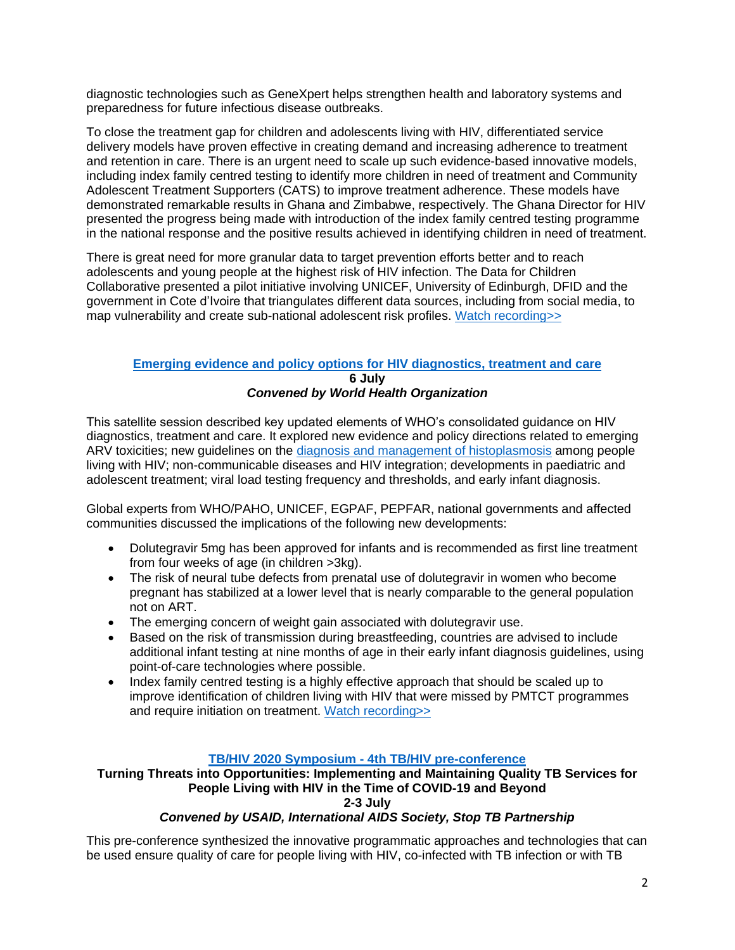diagnostic technologies such as GeneXpert helps strengthen health and laboratory systems and preparedness for future infectious disease outbreaks.

To close the treatment gap for children and adolescents living with HIV, differentiated service delivery models have proven effective in creating demand and increasing adherence to treatment and retention in care. There is an urgent need to scale up such evidence-based innovative models, including index family centred testing to identify more children in need of treatment and Community Adolescent Treatment Supporters (CATS) to improve treatment adherence. These models have demonstrated remarkable results in Ghana and Zimbabwe, respectively. The Ghana Director for HIV presented the progress being made with introduction of the index family centred testing programme in the national response and the positive results achieved in identifying children in need of treatment.

There is great need for more granular data to target prevention efforts better and to reach adolescents and young people at the highest risk of HIV infection. The Data for Children Collaborative presented a pilot initiative involving UNICEF, University of Edinburgh, DFID and the government in Cote d'Ivoire that triangulates different data sources, including from social media, to map vulnerability and create sub-national adolescent risk profiles. [Watch recording>>](https://cattendee.abstractsonline.com/meeting/9289/Session/460)

### **[Emerging evidence and policy options for HIV diagnostics, treatment and care](https://cattendee.abstractsonline.com/meeting/9289/Session/517) 6 July** *Convened by World Health Organization*

This satellite session described key updated elements of WHO's consolidated guidance on HIV diagnostics, treatment and care. It explored new evidence and policy directions related to emerging ARV toxicities; new guidelines on the [diagnosis and management of histoplasmosis](https://www.who.int/publications/i/item/guidelines-for-diagnosing-and-managing-disseminated-histoplasmosis-among-people-living-with-hiv) among people living with HIV; non-communicable diseases and HIV integration; developments in paediatric and adolescent treatment; viral load testing frequency and thresholds, and early infant diagnosis.

Global experts from WHO/PAHO, UNICEF, EGPAF, PEPFAR, national governments and affected communities discussed the implications of the following new developments:

- Dolutegravir 5mg has been approved for infants and is recommended as first line treatment from four weeks of age (in children >3kg).
- The risk of neural tube defects from prenatal use of dolutegravir in women who become pregnant has stabilized at a lower level that is nearly comparable to the general population not on ART.
- The emerging concern of weight gain associated with dolutegravir use.
- Based on the risk of transmission during breastfeeding, countries are advised to include additional infant testing at nine months of age in their early infant diagnosis guidelines, using point-of-care technologies where possible.
- Index family centred testing is a highly effective approach that should be scaled up to improve identification of children living with HIV that were missed by PMTCT programmes and require initiation on treatment. [Watch recording>>](https://cattendee.abstractsonline.com/meeting/9289/Session/517)

### **TB/HIV 2020 Symposium - [4th TB/HIV pre-conference](https://www.iasociety.org/TB2020)**

**Turning Threats into Opportunities: Implementing and Maintaining Quality TB Services for People Living with HIV in the Time of COVID-19 and Beyond**

# **2-3 July**

# *Convened by USAID, International AIDS Society, Stop TB Partnership*

This pre-conference synthesized the innovative programmatic approaches and technologies that can be used ensure quality of care for people living with HIV, co-infected with TB infection or with TB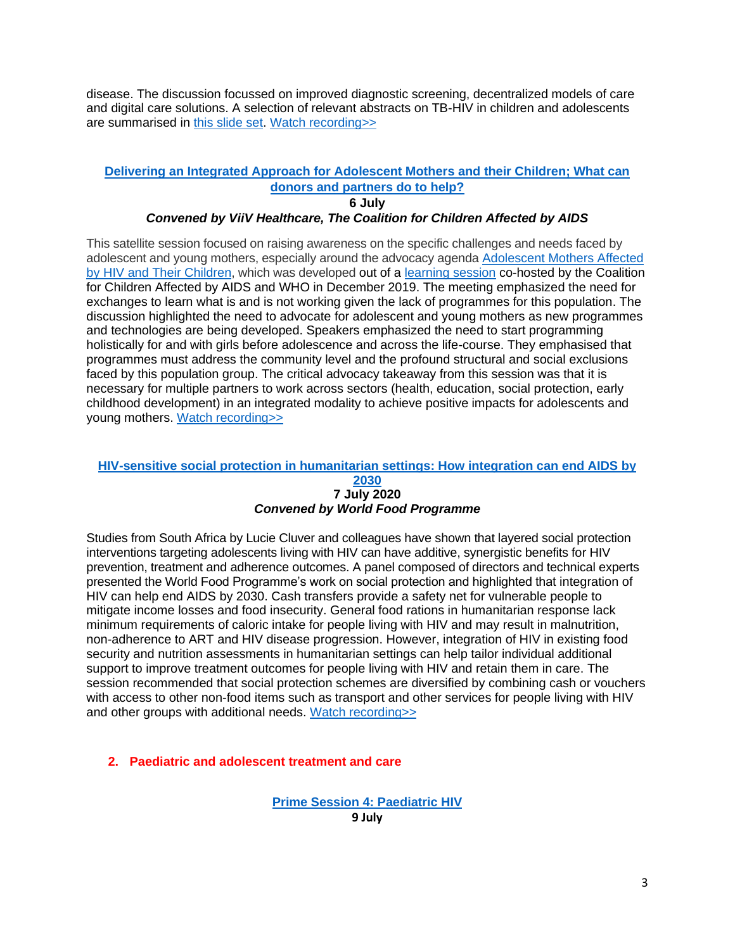disease. The discussion focussed on improved diagnostic screening, decentralized models of care and digital care solutions. A selection of relevant abstracts on TB-HIV in children and adolescents are summarised in [this slide set.](https://unicef.sharepoint.com/:b:/t/PD-AIDS2020/EYiRgpm-9w9JnF3eA3uNQvUBl8uLITWVBvW_wJO748jdDw?e=VQwOJb) [Watch recording>>](https://cattendee.abstractsonline.com/meeting/9289/Session/181)

# **[Delivering an Integrated Approach for Adolescent Mothers and their Children; What can](https://cattendee.abstractsonline.com/meeting/9289/Session/446)  [donors and partners do to help?](https://cattendee.abstractsonline.com/meeting/9289/Session/446)**

**6 July**

### *Convened by ViiV Healthcare, The Coalition for Children Affected by AIDS*

This satellite session focused on raising awareness on the specific challenges and needs faced by adolescent and young mothers, especially around the advocacy agenda [Adolescent Mothers Affected](https://childrenandhiv.org/resources/adolescent-mothers-affected-hiv-children-draft-advocacy-agenda/)  [by HIV and Their Children,](https://childrenandhiv.org/resources/adolescent-mothers-affected-hiv-children-draft-advocacy-agenda/) which was developed out of a [learning session](https://childrenandhiv.org/wp-content/uploads/2020/06/Report-of-Teen-Mothers-Learning-Session-Final-May-2020.pdf) co-hosted by the Coalition for Children Affected by AIDS and WHO in December 2019. The meeting emphasized the need for exchanges to learn what is and is not working given the lack of programmes for this population. The discussion highlighted the need to advocate for adolescent and young mothers as new programmes and technologies are being developed. Speakers emphasized the need to start programming holistically for and with girls before adolescence and across the life-course. They emphasised that programmes must address the community level and the profound structural and social exclusions faced by this population group. The critical advocacy takeaway from this session was that it is necessary for multiple partners to work across sectors (health, education, social protection, early childhood development) in an integrated modality to achieve positive impacts for adolescents and young mothers. [Watch recording>>](https://cattendee.abstractsonline.com/meeting/9289/Session/446)

# **[HIV-sensitive social protection in humanitarian settings: How integration can end AIDS by](https://cattendee.abstractsonline.com/meeting/9289/Session/420)**

#### **[2030](https://cattendee.abstractsonline.com/meeting/9289/Session/420) 7 July 2020** *Convened by World Food Programme*

Studies from South Africa by Lucie Cluver and colleagues have shown that layered social protection interventions targeting adolescents living with HIV can have additive, synergistic benefits for HIV prevention, treatment and adherence outcomes. A panel composed of directors and technical experts presented the World Food Programme's work on social protection and highlighted that integration of HIV can help end AIDS by 2030. Cash transfers provide a safety net for vulnerable people to mitigate income losses and food insecurity. General food rations in humanitarian response lack minimum requirements of caloric intake for people living with HIV and may result in malnutrition, non-adherence to ART and HIV disease progression. However, integration of HIV in existing food security and nutrition assessments in humanitarian settings can help tailor individual additional support to improve treatment outcomes for people living with HIV and retain them in care. The session recommended that social protection schemes are diversified by combining cash or vouchers with access to other non-food items such as transport and other services for people living with HIV and other groups with additional needs. [Watch recording>>](https://cattendee.abstractsonline.com/meeting/9289/Session/420)

### **2. Paediatric and adolescent treatment and care**

**[Prime Session 4: Paediatric HIV](https://cattendee.abstractsonline.com/meeting/9289/Session/167) 9 July**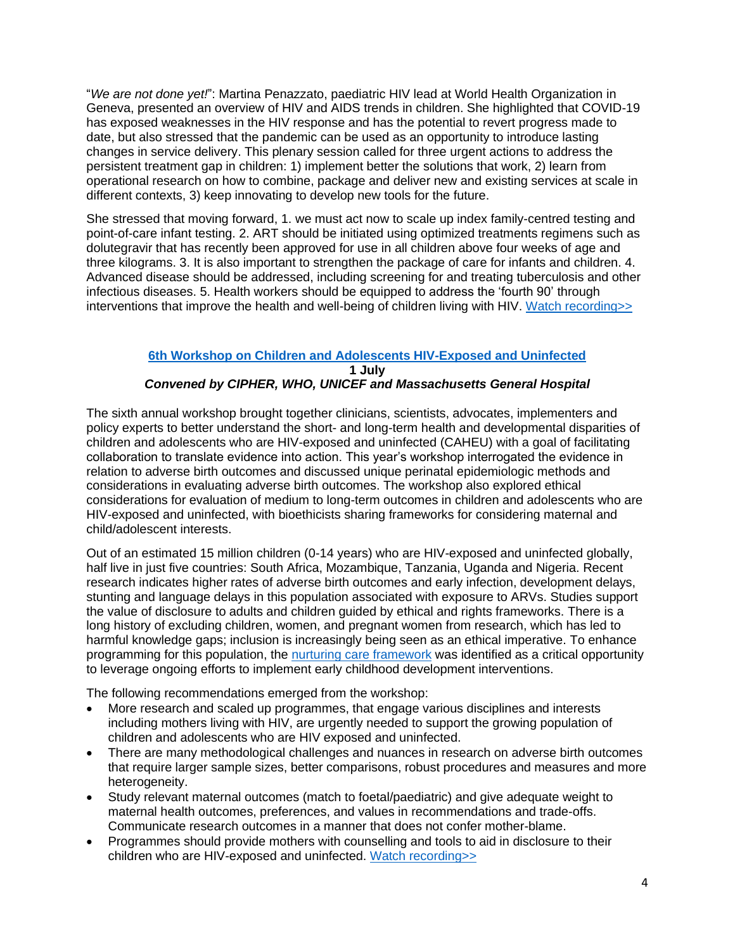"*We are not done yet!*": Martina Penazzato, paediatric HIV lead at World Health Organization in Geneva, presented an overview of HIV and AIDS trends in children. She highlighted that COVID-19 has exposed weaknesses in the HIV response and has the potential to revert progress made to date, but also stressed that the pandemic can be used as an opportunity to introduce lasting changes in service delivery. This plenary session called for three urgent actions to address the persistent treatment gap in children: 1) implement better the solutions that work, 2) learn from operational research on how to combine, package and deliver new and existing services at scale in different contexts, 3) keep innovating to develop new tools for the future.

She stressed that moving forward, 1. we must act now to scale up index family-centred testing and point-of-care infant testing. 2. ART should be initiated using optimized treatments regimens such as dolutegravir that has recently been approved for use in all children above four weeks of age and three kilograms. 3. It is also important to strengthen the package of care for infants and children. 4. Advanced disease should be addressed, including screening for and treating tuberculosis and other infectious diseases. 5. Health workers should be equipped to address the 'fourth 90' through interventions that improve the health and well-being of children living with HIV. [Watch recording>>](https://cattendee.abstractsonline.com/meeting/9289/Session/420)

# **[6th Workshop on Children and Adolescents HIV-Exposed and Uninfected](https://www.iasociety.org/HIV-Programmes/Programmes/Paediatrics-CIPHER/6th-HIV-Exposed-Uninfected-Child-and-Adolescent-Workshop)**

**1 July**

# *Convened by CIPHER, WHO, UNICEF and Massachusetts General Hospital*

The sixth annual workshop brought together clinicians, scientists, advocates, implementers and policy experts to better understand the short- and long-term health and developmental disparities of children and adolescents who are HIV-exposed and uninfected (CAHEU) with a goal of facilitating collaboration to translate evidence into action. This year's workshop interrogated the evidence in relation to adverse birth outcomes and discussed unique perinatal epidemiologic methods and considerations in evaluating adverse birth outcomes. The workshop also explored ethical considerations for evaluation of medium to long-term outcomes in children and adolescents who are HIV-exposed and uninfected, with bioethicists sharing frameworks for considering maternal and child/adolescent interests.

Out of an estimated 15 million children (0-14 years) who are HIV-exposed and uninfected globally, half live in just five countries: South Africa, Mozambique, Tanzania, Uganda and Nigeria. Recent research indicates higher rates of adverse birth outcomes and early infection, development delays, stunting and language delays in this population associated with exposure to ARVs. Studies support the value of disclosure to adults and children guided by ethical and rights frameworks. There is a long history of excluding children, women, and pregnant women from research, which has led to harmful knowledge gaps; inclusion is increasingly being seen as an ethical imperative. To enhance programming for this population, the [nurturing care](https://nurturing-care.org/) framework was identified as a critical opportunity to leverage ongoing efforts to implement early childhood development interventions.

The following recommendations emerged from the workshop:

- More research and scaled up programmes, that engage various disciplines and interests including mothers living with HIV, are urgently needed to support the growing population of children and adolescents who are HIV exposed and uninfected.
- There are many methodological challenges and nuances in research on adverse birth outcomes that require larger sample sizes, better comparisons, robust procedures and measures and more heterogeneity.
- Study relevant maternal outcomes (match to foetal/paediatric) and give adequate weight to maternal health outcomes, preferences, and values in recommendations and trade-offs. Communicate research outcomes in a manner that does not confer mother-blame.
- Programmes should provide mothers with counselling and tools to aid in disclosure to their children who are HIV-exposed and uninfected. [Watch recording>>](https://cattendee.abstractsonline.com/meeting/9289/Session/193)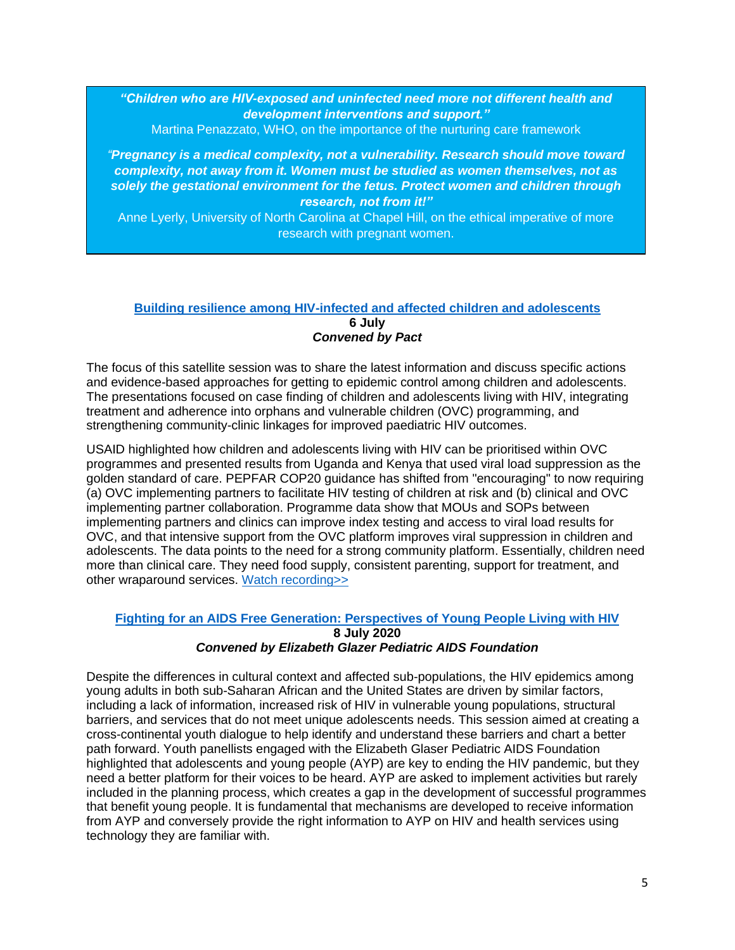*"Children who are HIV-exposed and uninfected need more not different health and development interventions and support."*

Martina Penazzato, WHO, on the importance of the nurturing care framework

*"Pregnancy is a medical complexity, not a vulnerability. Research should move toward complexity, not away from it. Women must be studied as women themselves, not as solely the gestational environment for the fetus. Protect women and children through research, not from it!"*

Anne Lyerly, University of North Carolina at Chapel Hill, on the ethical imperative of more research with pregnant women.

### **[Building resilience among HIV-infected and affected children and adolescents](https://cattendee.abstractsonline.com/meeting/9289/Session/414) 6 July** *Convened by Pact*

The focus of this satellite session was to share the latest information and discuss specific actions and evidence-based approaches for getting to epidemic control among children and adolescents. The presentations focused on case finding of children and adolescents living with HIV, integrating treatment and adherence into orphans and vulnerable children (OVC) programming, and strengthening community-clinic linkages for improved paediatric HIV outcomes.

USAID highlighted how children and adolescents living with HIV can be prioritised within OVC programmes and presented results from Uganda and Kenya that used viral load suppression as the golden standard of care. PEPFAR COP20 guidance has shifted from "encouraging" to now requiring (a) OVC implementing partners to facilitate HIV testing of children at risk and (b) clinical and OVC implementing partner collaboration. Programme data show that MOUs and SOPs between implementing partners and clinics can improve index testing and access to viral load results for OVC, and that intensive support from the OVC platform improves viral suppression in children and adolescents. The data points to the need for a strong community platform. Essentially, children need more than clinical care. They need food supply, consistent parenting, support for treatment, and other wraparound services. [Watch recording>>](https://cattendee.abstractsonline.com/meeting/9289/Session/414)

### **[Fighting for an AIDS Free Generation: Perspectives of Young People Living with HIV](https://cattendee.abstractsonline.com/meeting/9289/Session/456) 8 July 2020** *Convened by Elizabeth Glazer Pediatric AIDS Foundation*

Despite the differences in cultural context and affected sub-populations, the HIV epidemics among young adults in both sub-Saharan African and the United States are driven by similar factors, including a lack of information, increased risk of HIV in vulnerable young populations, structural barriers, and services that do not meet unique adolescents needs. This session aimed at creating a cross-continental youth dialogue to help identify and understand these barriers and chart a better path forward. Youth panellists engaged with the Elizabeth Glaser Pediatric AIDS Foundation highlighted that adolescents and young people (AYP) are key to ending the HIV pandemic, but they need a better platform for their voices to be heard. AYP are asked to implement activities but rarely included in the planning process, which creates a gap in the development of successful programmes that benefit young people. It is fundamental that mechanisms are developed to receive information from AYP and conversely provide the right information to AYP on HIV and health services using technology they are familiar with.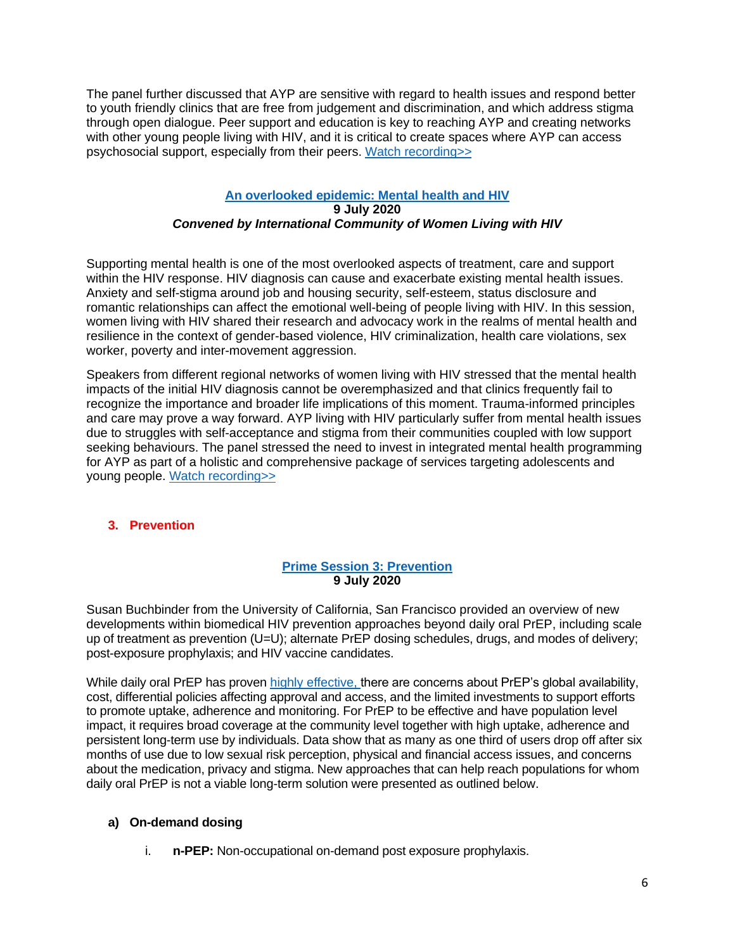The panel further discussed that AYP are sensitive with regard to health issues and respond better to youth friendly clinics that are free from judgement and discrimination, and which address stigma through open dialogue. Peer support and education is key to reaching AYP and creating networks with other young people living with HIV, and it is critical to create spaces where AYP can access psychosocial support, especially from their peers. [Watch recording>>](https://cattendee.abstractsonline.com/meeting/9289/Session/456)

### **[An overlooked epidemic: Mental health and HIV](https://cattendee.abstractsonline.com/meeting/9289/Session/458) 9 July 2020** *Convened by International Community of Women Living with HIV*

Supporting mental health is one of the most overlooked aspects of treatment, care and support within the HIV response. HIV diagnosis can cause and exacerbate existing mental health issues. Anxiety and self-stigma around job and housing security, self-esteem, status disclosure and romantic relationships can affect the emotional well-being of people living with HIV. In this session, women living with HIV shared their research and advocacy work in the realms of mental health and resilience in the context of gender-based violence, HIV criminalization, health care violations, sex worker, poverty and inter-movement aggression.

Speakers from different regional networks of women living with HIV stressed that the mental health impacts of the initial HIV diagnosis cannot be overemphasized and that clinics frequently fail to recognize the importance and broader life implications of this moment. Trauma-informed principles and care may prove a way forward. AYP living with HIV particularly suffer from mental health issues due to struggles with self-acceptance and stigma from their communities coupled with low support seeking behaviours. The panel stressed the need to invest in integrated mental health programming for AYP as part of a holistic and comprehensive package of services targeting adolescents and young people. [Watch recording>>](https://cattendee.abstractsonline.com/meeting/9289/Session/458)

# **3. Prevention**

### **[Prime Session 3: Prevention](https://cattendee.abstractsonline.com/meeting/9289/Session/170) 9 July 2020**

Susan Buchbinder from the University of California, San Francisco provided an overview of new developments within biomedical HIV prevention approaches beyond daily oral PrEP, including scale up of treatment as prevention (U=U); alternate PrEP dosing schedules, drugs, and modes of delivery; post-exposure prophylaxis; and HIV vaccine candidates.

While daily oral PrEP has proven [highly effective,](https://www.croiconference.org/abstract/longer-term-safety-of-f-taf-and-f-tdf-for-hiv-prep-discover-trial-week-96-results/) there are concerns about PrEP's global availability, cost, differential policies affecting approval and access, and the limited investments to support efforts to promote uptake, adherence and monitoring. For PrEP to be effective and have population level impact, it requires broad coverage at the community level together with high uptake, adherence and persistent long-term use by individuals. Data show that as many as one third of users drop off after six months of use due to low sexual risk perception, physical and financial access issues, and concerns about the medication, privacy and stigma. New approaches that can help reach populations for whom daily oral PrEP is not a viable long-term solution were presented as outlined below.

# **a) On-demand dosing**

i. **n-PEP:** Non-occupational on-demand post exposure prophylaxis.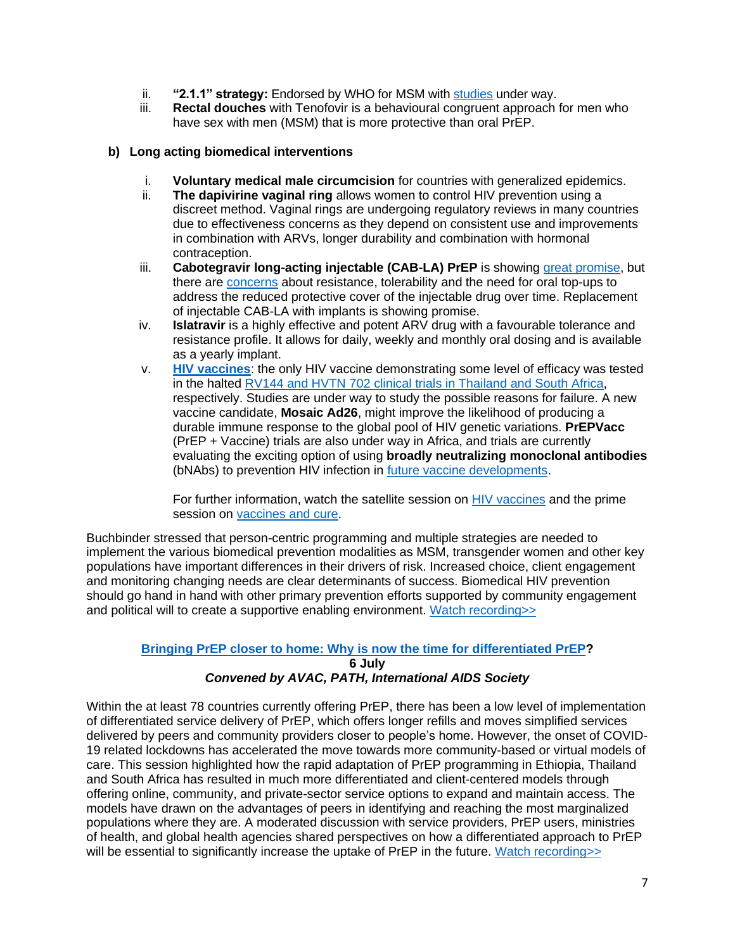- ii. **"2.1.1" strategy:** Endorsed by WHO for MSM with [studies](https://www.who.int/hiv/pub/prep/211/en/) under way.
- iii. **Rectal douches** with Tenofovir is a behavioural congruent approach for men who have sex with men (MSM) that is more protective than oral PrEP.

### **b) Long acting biomedical interventions**

- i. **Voluntary medical male circumcision** for countries with generalized epidemics.
- ii. **The dapivirine vaginal ring** allows women to control HIV prevention using a discreet method. Vaginal rings are undergoing regulatory reviews in many countries due to effectiveness concerns as they depend on consistent use and improvements in combination with ARVs, longer durability and combination with hormonal contraception.
- iii. **Cabotegravir long-acting injectable (CAB-LA) PrEP** is showing [great promise,](https://www.nih.gov/news-events/news-releases/long-acting-injectable-form-hiv-prevention-outperforms-daily-pill-nih-study) but there are [concerns](https://viivhealthcare.com/en-gb/media/press-releases/2020/may/global-hiv-prevention-study-to-stop-early-after-viiv-healthcares/) about resistance, tolerability and the need for oral top-ups to address the reduced protective cover of the injectable drug over time. Replacement of injectable CAB-LA with implants is showing promise.
- iv. **Islatravir** is a highly effective and potent ARV drug with a favourable tolerance and resistance profile. It allows for daily, weekly and monthly oral dosing and is available as a yearly implant.
- v. **HIV [vaccines](https://iascslide.ctimeetingtech.com/aids2020/attendee/confcal_6/show/session/511?utm_source=IAS&utm_campaign=d5e0dab615-daily-delegate-7-july&utm_medium=email&utm_term=0_58c4aa5b50-d5e0dab615-104064945)**: the only HIV vaccine demonstrating some level of efficacy was tested in the halted [RV144 and HVTN 702 clinical trials](https://www.nih.gov/news-events/news-releases/experimental-hiv-vaccine-regimen-ineffective-preventing-hiv) in Thailand and South Africa, respectively. Studies are under way to study the possible reasons for failure. A new vaccine candidate, **Mosaic Ad26**, might improve the likelihood of producing a durable immune response to the global pool of HIV genetic variations. **PrEPVacc** (PrEP + Vaccine) trials are also under way in Africa, and trials are currently evaluating the exciting option of using **broadly neutralizing monoclonal antibodies** (bNAbs) to prevention HIV infection in [future vaccine developments.](https://onlinelibrary.wiley.com/doi/full/10.1002/jia2.25506)

For further information, watch the satellite session on [HIV vaccines](https://iascslide.ctimeetingtech.com/aids2020/attendee/confcal_6/show/session/511?utm_source=IAS&utm_campaign=d5e0dab615-daily-delegate-7-july&utm_medium=email&utm_term=0_58c4aa5b50-d5e0dab615-104064945) and the prime session on [vaccines and cure.](https://iascslide.ctimeetingtech.com/aids2020/attendee/confcal_6/show/session/161?utm_source=IAS&utm_campaign=d5e0dab615-daily-delegate-7-july&utm_medium=email&utm_term=0_58c4aa5b50-d5e0dab615-104064945)

Buchbinder stressed that person-centric programming and multiple strategies are needed to implement the various biomedical prevention modalities as MSM, transgender women and other key populations have important differences in their drivers of risk. Increased choice, client engagement and monitoring changing needs are clear determinants of success. Biomedical HIV prevention should go hand in hand with other primary prevention efforts supported by community engagement and political will to create a supportive enabling environment. [Watch recording>>](https://cattendee.abstractsonline.com/meeting/9289/Session/170)

### **[Bringing PrEP closer to home: Why is now the time for differentiated PrEP?](https://cattendee.abstractsonline.com/meeting/9289/Session/470) 6 July** *Convened by AVAC, PATH, International AIDS Society*

Within the at least 78 countries currently offering PrEP, there has been a low level of implementation of differentiated service delivery of PrEP, which offers longer refills and moves simplified services delivered by peers and community providers closer to people's home. However, the onset of COVID-19 related lockdowns has accelerated the move towards more community-based or virtual models of care. This session highlighted how the rapid adaptation of PrEP programming in Ethiopia, Thailand and South Africa has resulted in much more differentiated and client-centered models through offering online, community, and private-sector service options to expand and maintain access. The models have drawn on the advantages of peers in identifying and reaching the most marginalized populations where they are. A moderated discussion with service providers, PrEP users, ministries of health, and global health agencies shared perspectives on how a differentiated approach to PrEP will be essential to significantly increase the uptake of PrEP in the future. Watch recording>>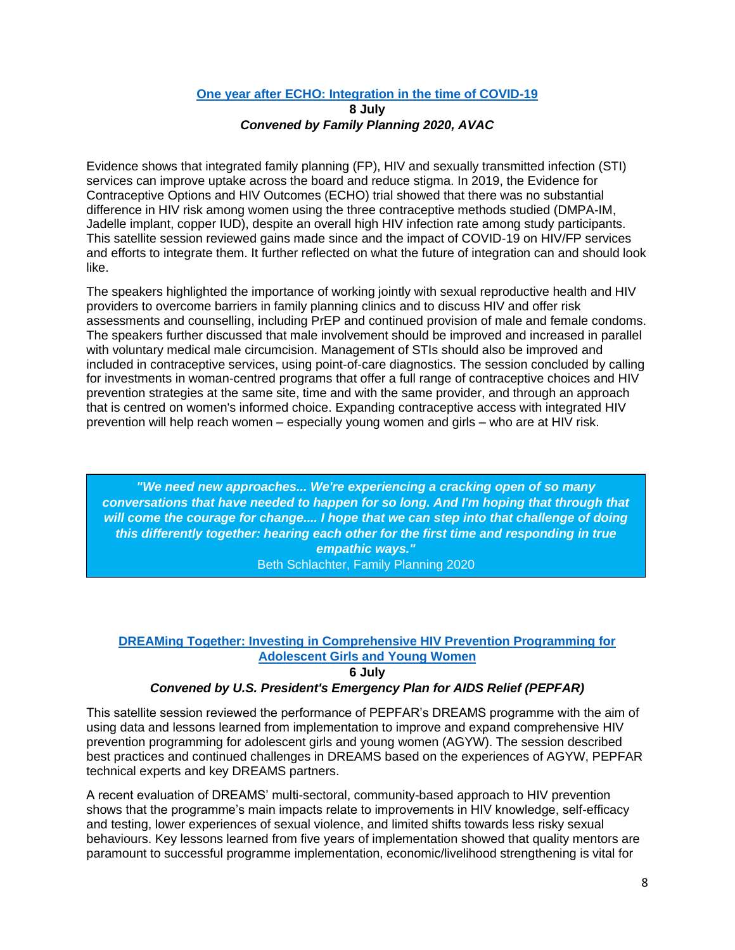#### **[One year after ECHO: Integration in the time of COVID-19](https://cattendee.abstractsonline.com/meeting/9289/Session/439)**

### **8 July** *Convened by Family Planning 2020, AVAC*

Evidence shows that integrated family planning (FP), HIV and sexually transmitted infection (STI) services can improve uptake across the board and reduce stigma. In 2019, the Evidence for Contraceptive Options and HIV Outcomes (ECHO) trial showed that there was no substantial difference in HIV risk among women using the three contraceptive methods studied (DMPA-IM, Jadelle implant, copper IUD), despite an overall high HIV infection rate among study participants. This satellite session reviewed gains made since and the impact of COVID-19 on HIV/FP services and efforts to integrate them. It further reflected on what the future of integration can and should look like.

The speakers highlighted the importance of working jointly with sexual reproductive health and HIV providers to overcome barriers in family planning clinics and to discuss HIV and offer risk assessments and counselling, including PrEP and continued provision of male and female condoms. The speakers further discussed that male involvement should be improved and increased in parallel with voluntary medical male circumcision. Management of STIs should also be improved and included in contraceptive services, using point-of-care diagnostics. The session concluded by calling for investments in woman-centred programs that offer a full range of contraceptive choices and HIV prevention strategies at the same site, time and with the same provider, and through an approach that is centred on women's informed choice. Expanding contraceptive access with integrated HIV prevention will help reach women – especially young women and girls – who are at HIV risk.

*"We need new approaches... We're experiencing a cracking open of so many conversations that have needed to happen for so long. And I'm hoping that through that will come the courage for change.... I hope that we can step into that challenge of doing this differently together: hearing each other for the first time and responding in true empathic ways."*

Beth Schlachter, Family Planning 2020

# **DREAMing [Together: Investing in Comprehensive HIV Prevention Programming for](https://cattendee.abstractsonline.com/meeting/9289/Session/528)  [Adolescent Girls and Young Women](https://cattendee.abstractsonline.com/meeting/9289/Session/528)**

**6 July**

### *Convened by U.S. President's Emergency Plan for AIDS Relief (PEPFAR)*

This satellite session reviewed the performance of PEPFAR's DREAMS programme with the aim of using data and lessons learned from implementation to improve and expand comprehensive HIV prevention programming for adolescent girls and young women (AGYW). The session described best practices and continued challenges in DREAMS based on the experiences of AGYW, PEPFAR technical experts and key DREAMS partners.

A recent evaluation of DREAMS' multi-sectoral, community-based approach to HIV prevention shows that the programme's main impacts relate to improvements in HIV knowledge, self-efficacy and testing, lower experiences of sexual violence, and limited shifts towards less risky sexual behaviours. Key lessons learned from five years of implementation showed that quality mentors are paramount to successful programme implementation, economic/livelihood strengthening is vital for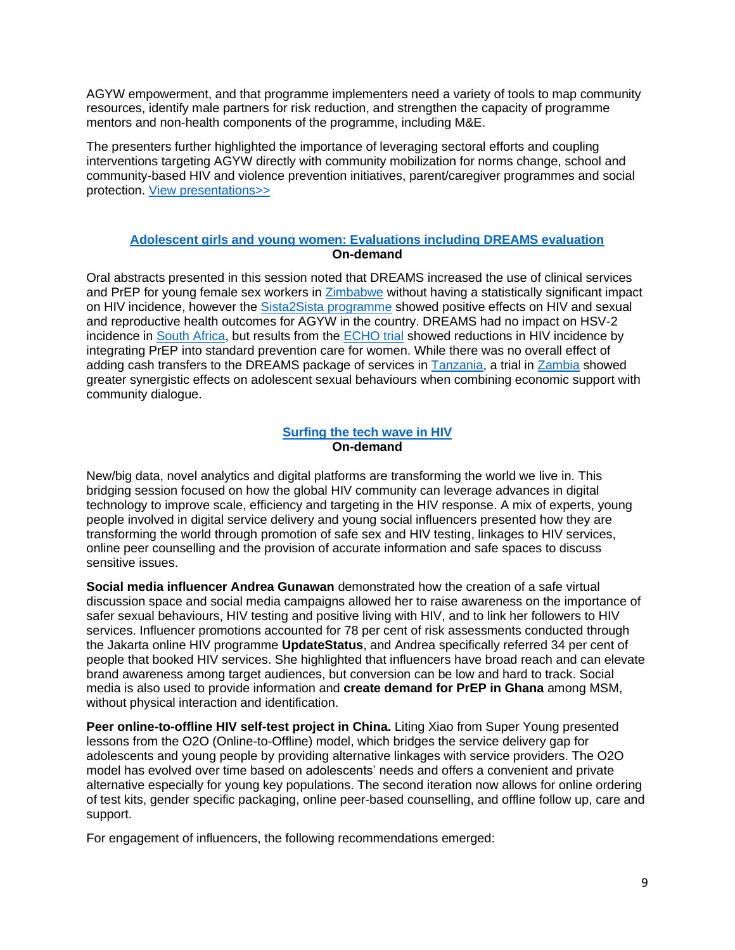AGYW empowerment, and that programme implementers need a variety of tools to map community resources, identify male partners for risk reduction, and strengthen the capacity of programme mentors and non-health components of the programme, including M&E.

The presenters further highlighted the importance of leveraging sectoral efforts and coupling interventions targeting AGYW directly with community mobilization for norms change, school and community-based HIV and violence prevention initiatives, parent/caregiver programmes and social protection. [View presentations>>](https://cattendee.abstractsonline.com/meeting/9289/Session/528)

### **[Adolescent girls and young women: Evaluations including DREAMS evaluation](https://cattendee.abstractsonline.com/meeting/9289/presentation/135) On-demand**

Oral abstracts presented in this session noted that DREAMS increased the use of clinical services and PrEP for young female sex workers in [Zimbabwe](https://cattendee.abstractsonline.com/meeting/9289/presentation/132) without having a statistically significant impact on HIV incidence, however the [Sista2Sista programme](https://cattendee.abstractsonline.com/meeting/9289/presentation/141) showed positive effects on HIV and sexual and reproductive health outcomes for AGYW in the country. DREAMS had no impact on HSV-2 incidence in [South Africa,](https://cattendee.abstractsonline.com/meeting/9289/presentation/133) but results from the [ECHO trial](https://cattendee.abstractsonline.com/meeting/9289/presentation/137) showed reductions in HIV incidence by integrating PrEP into standard prevention care for women. While there was no overall effect of adding cash transfers to the DREAMS package of services in [Tanzania,](https://cattendee.abstractsonline.com/meeting/9289/Presentation/3918) a trial in [Zambia](https://cattendee.abstractsonline.com/meeting/9289/presentation/141) showed greater synergistic effects on adolescent sexual behaviours when combining economic support with community dialogue.

#### **[Surfing the tech wave in HIV](https://cattendee.abstractsonline.com/meeting/9289/Session/147) On-demand**

New/big data, novel analytics and digital platforms are transforming the world we live in. This bridging session focused on how the global HIV community can leverage advances in digital technology to improve scale, efficiency and targeting in the HIV response. A mix of experts, young people involved in digital service delivery and young social influencers presented how they are transforming the world through promotion of safe sex and HIV testing, linkages to HIV services, online peer counselling and the provision of accurate information and safe spaces to discuss sensitive issues.

**Social media influencer Andrea Gunawan** demonstrated how the creation of a safe virtual discussion space and social media campaigns allowed her to raise awareness on the importance of safer sexual behaviours, HIV testing and positive living with HIV, and to link her followers to HIV services. Influencer promotions accounted for 78 per cent of risk assessments conducted through the Jakarta online HIV programme **UpdateStatus**, and Andrea specifically referred 34 per cent of people that booked HIV services. She highlighted that influencers have broad reach and can elevate brand awareness among target audiences, but conversion can be low and hard to track. Social media is also used to provide information and **create demand for PrEP in Ghana** among MSM, without physical interaction and identification.

**Peer online-to-offline HIV self-test project in China.** Liting Xiao from Super Young presented lessons from the O2O (Online-to-Offline) model, which bridges the service delivery gap for adolescents and young people by providing alternative linkages with service providers. The O2O model has evolved over time based on adolescents' needs and offers a convenient and private alternative especially for young key populations. The second iteration now allows for online ordering of test kits, gender specific packaging, online peer-based counselling, and offline follow up, care and support.

For engagement of influencers, the following recommendations emerged: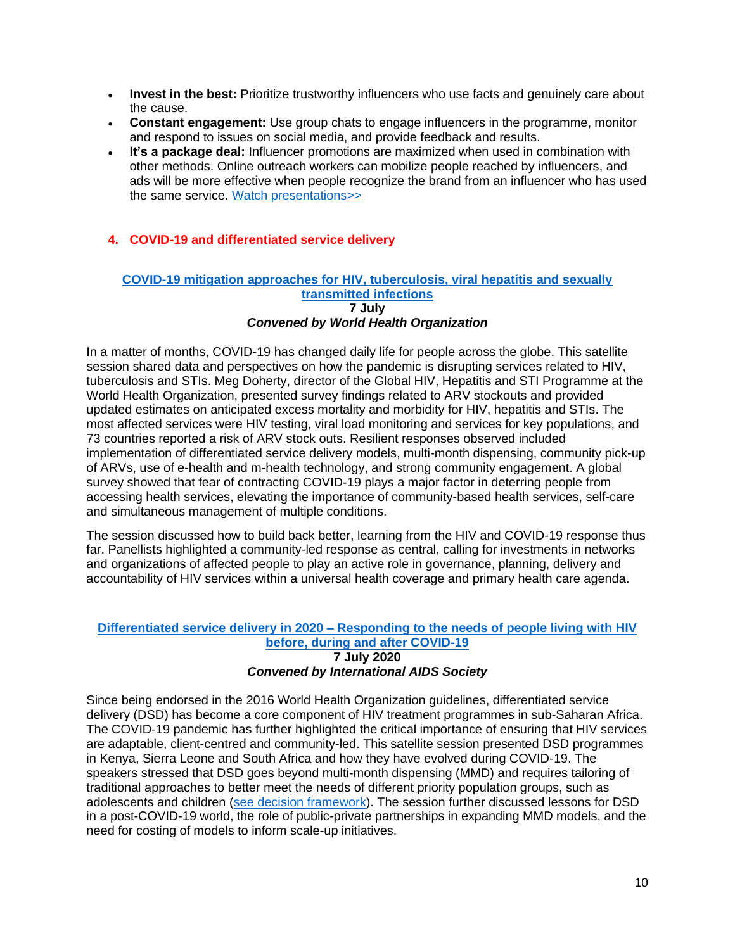- **Invest in the best:** Prioritize trustworthy influencers who use facts and genuinely care about the cause.
- **Constant engagement:** Use group chats to engage influencers in the programme, monitor and respond to issues on social media, and provide feedback and results.
- **It's a package deal:** Influencer promotions are maximized when used in combination with other methods. Online outreach workers can mobilize people reached by influencers, and ads will be more effective when people recognize the brand from an influencer who has used the same service. [Watch presentations>>](https://cattendee.abstractsonline.com/meeting/9289/Session/147)

### **4. COVID-19 and differentiated service delivery**

#### **[COVID-19 mitigation approaches for HIV, tuberculosis, viral hepatitis and sexually](https://cattendee.abstractsonline.com/meeting/9289/Session/593)  [transmitted infections](https://cattendee.abstractsonline.com/meeting/9289/Session/593) 7 July** *Convened by World Health Organization*

In a matter of months, COVID-19 has changed daily life for people across the globe. This satellite session shared data and perspectives on how the pandemic is disrupting services related to HIV, tuberculosis and STIs. Meg Doherty, director of the Global HIV, Hepatitis and STI Programme at the World Health Organization, presented survey findings related to ARV stockouts and provided updated estimates on anticipated excess mortality and morbidity for HIV, hepatitis and STIs. The most affected services were HIV testing, viral load monitoring and services for key populations, and 73 countries reported a risk of ARV stock outs. Resilient responses observed included implementation of differentiated service delivery models, multi-month dispensing, community pick-up of ARVs, use of e-health and m-health technology, and strong community engagement. A global survey showed that fear of contracting COVID-19 plays a major factor in deterring people from accessing health services, elevating the importance of community-based health services, self-care and simultaneous management of multiple conditions.

The session discussed how to build back better, learning from the HIV and COVID-19 response thus far. Panellists highlighted a community-led response as central, calling for investments in networks and organizations of affected people to play an active role in governance, planning, delivery and accountability of HIV services within a universal health coverage and primary health care agenda.

#### **Differentiated service delivery in 2020 – [Responding to the needs of people living with HIV](https://cattendee.abstractsonline.com/meeting/9289/Session/413)  [before, during and after COVID-19](https://cattendee.abstractsonline.com/meeting/9289/Session/413) 7 July 2020** *Convened by International AIDS Society*

Since being endorsed in the 2016 World Health Organization guidelines, differentiated service delivery (DSD) has become a core component of HIV treatment programmes in sub-Saharan Africa. The COVID-19 pandemic has further highlighted the critical importance of ensuring that HIV services are adaptable, client-centred and community-led. This satellite session presented DSD programmes in Kenya, Sierra Leone and South Africa and how they have evolved during COVID-19. The speakers stressed that DSD goes beyond multi-month dispensing (MMD) and requires tailoring of traditional approaches to better meet the needs of different priority population groups, such as adolescents and children [\(see decision framework\)](file:///C:/Users/rlekirkegaard/OneDrive%20-%20UNICEF/Documents/Conferences%20and%20workshops/AIDS2020/Conference%20report/•https:/www.differentiatedcare.org/Portals/0/adam/Content/9ErIJtsSfUmj_Ska6BoN0Q/File/Decision%20Framework%20for%20children%20adolescents%20and%20pregnant%20and%20breastfeeding%20women.pdf). The session further discussed lessons for DSD in a post-COVID-19 world, the role of public-private partnerships in expanding MMD models, and the need for costing of models to inform scale-up initiatives.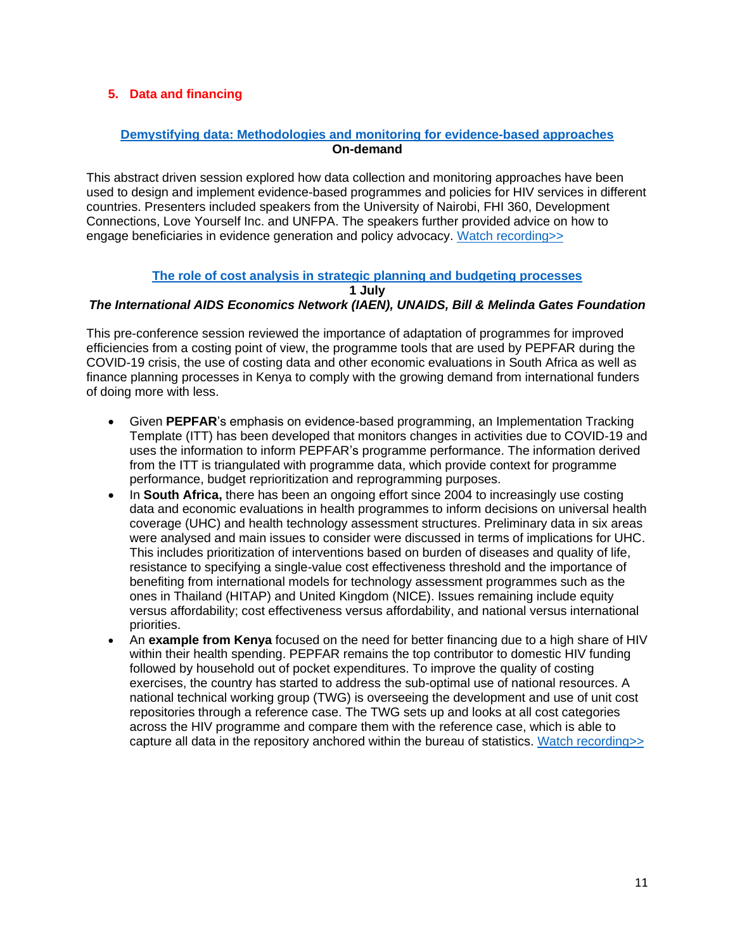### **5. Data and financing**

# **[Demystifying data: Methodologies and monitoring for evidence-based approaches](https://cattendee.abstractsonline.com/meeting/9289/Session/89) On-demand**

This abstract driven session explored how data collection and monitoring approaches have been used to design and implement evidence-based programmes and policies for HIV services in different countries. Presenters included speakers from the University of Nairobi, FHI 360, Development Connections, Love Yourself Inc. and UNFPA. The speakers further provided advice on how to engage beneficiaries in evidence generation and policy advocacy. [Watch recording>>](https://cattendee.abstractsonline.com/meeting/9289/Session/89)

#### **[The role of cost analysis in strategic planning and budgeting processes](https://cattendee.abstractsonline.com/meeting/9289/Session/219)**

**1 July**

### *The International AIDS Economics Network (IAEN), UNAIDS, Bill & Melinda Gates Foundation*

This pre-conference session reviewed the importance of adaptation of programmes for improved efficiencies from a costing point of view, the programme tools that are used by PEPFAR during the COVID-19 crisis, the use of costing data and other economic evaluations in South Africa as well as finance planning processes in Kenya to comply with the growing demand from international funders of doing more with less.

- Given **PEPFAR**'s emphasis on evidence-based programming, an Implementation Tracking Template (ITT) has been developed that monitors changes in activities due to COVID-19 and uses the information to inform PEPFAR's programme performance. The information derived from the ITT is triangulated with programme data, which provide context for programme performance, budget reprioritization and reprogramming purposes.
- In **South Africa,** there has been an ongoing effort since 2004 to increasingly use costing data and economic evaluations in health programmes to inform decisions on universal health coverage (UHC) and health technology assessment structures. Preliminary data in six areas were analysed and main issues to consider were discussed in terms of implications for UHC. This includes prioritization of interventions based on burden of diseases and quality of life, resistance to specifying a single-value cost effectiveness threshold and the importance of benefiting from international models for technology assessment programmes such as the ones in Thailand (HITAP) and United Kingdom (NICE). Issues remaining include equity versus affordability; cost effectiveness versus affordability, and national versus international priorities.
- An **example from Kenya** focused on the need for better financing due to a high share of HIV within their health spending. PEPFAR remains the top contributor to domestic HIV funding followed by household out of pocket expenditures. To improve the quality of costing exercises, the country has started to address the sub-optimal use of national resources. A national technical working group (TWG) is overseeing the development and use of unit cost repositories through a reference case. The TWG sets up and looks at all cost categories across the HIV programme and compare them with the reference case, which is able to capture all data in the repository anchored within the bureau of statistics. [Watch recording>>](https://cattendee.abstractsonline.com/meeting/9289/Session/219)